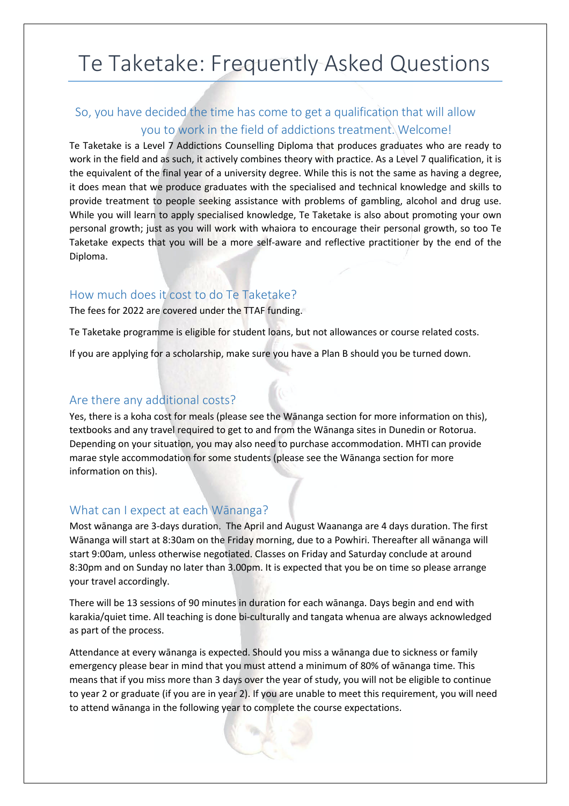# Te Taketake: Frequently Asked Questions

# So, you have decided the time has come to get a qualification that will allow you to work in the field of addictions treatment. Welcome!

Te Taketake is a Level 7 Addictions Counselling Diploma that produces graduates who are ready to work in the field and as such, it actively combines theory with practice. As a Level 7 qualification, it is the equivalent of the final year of a university degree. While this is not the same as having a degree, it does mean that we produce graduates with the specialised and technical knowledge and skills to provide treatment to people seeking assistance with problems of gambling, alcohol and drug use. While you will learn to apply specialised knowledge, Te Taketake is also about promoting your own personal growth; just as you will work with whaiora to encourage their personal growth, so too Te Taketake expects that you will be a more self-aware and reflective practitioner by the end of the Diploma.

#### How much does it cost to do Te Taketake?

The fees for 2022 are covered under the TTAF funding.

Te Taketake programme is eligible for student loans, but not allowances or course related costs.

If you are applying for a scholarship, make sure you have a Plan B should you be turned down.

## Are there any additional costs?

Yes, there is a koha cost for meals (please see the Wānanga section for more information on this), textbooks and any travel required to get to and from the Wānanga sites in Dunedin or Rotorua. Depending on your situation, you may also need to purchase accommodation. MHTI can provide marae style accommodation for some students (please see the Wānanga section for more information on this).

# What can I expect at each Wānanga?

Most wānanga are 3-days duration. The April and August Waananga are 4 days duration. The first Wānanga will start at 8:30am on the Friday morning, due to a Powhiri. Thereafter all wānanga will start 9:00am, unless otherwise negotiated. Classes on Friday and Saturday conclude at around 8:30pm and on Sunday no later than 3.00pm. It is expected that you be on time so please arrange your travel accordingly.

There will be 13 sessions of 90 minutes in duration for each wānanga. Days begin and end with karakia/quiet time. All teaching is done bi-culturally and tangata whenua are always acknowledged as part of the process.

Attendance at every wānanga is expected. Should you miss a wānanga due to sickness or family emergency please bear in mind that you must attend a minimum of 80% of wānanga time. This means that if you miss more than 3 days over the year of study, you will not be eligible to continue to year 2 or graduate (if you are in year 2). If you are unable to meet this requirement, you will need to attend wānanga in the following year to complete the course expectations.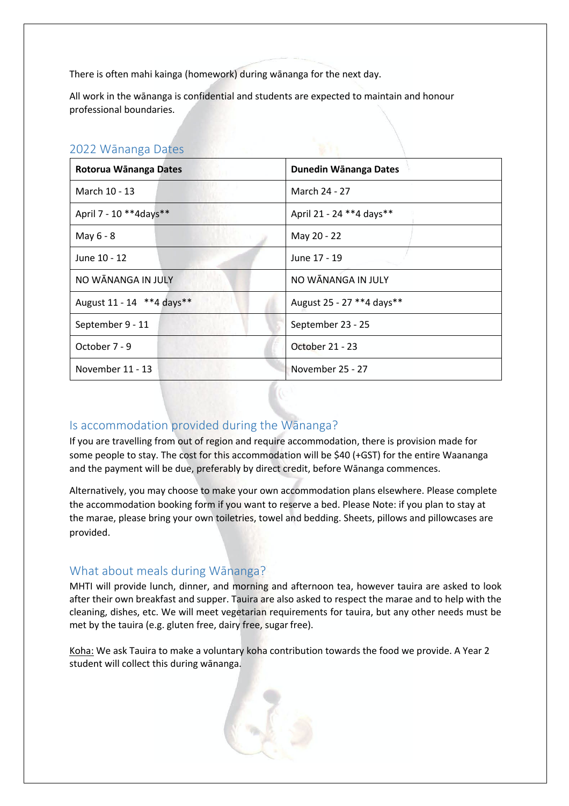There is often mahi kainga (homework) during wānanga for the next day.

All work in the wānanga is confidential and students are expected to maintain and honour professional boundaries.

|  | 2022 Wānanga Dates |  |
|--|--------------------|--|
|--|--------------------|--|

| Rotorua Wānanga Dates       | Dunedin Wānanga Dates       |  |
|-----------------------------|-----------------------------|--|
| March 10 - 13               | March 24 - 27               |  |
| April 7 - 10 **4days**      | April 21 - 24 ** 4 days **  |  |
| May 6 - 8                   | May 20 - 22                 |  |
| June 10 - 12                | June 17 - 19                |  |
| NO WĀNANGA IN JULY          | NO WĀNANGA IN JULY          |  |
| August 11 - 14 ** 4 days ** | August 25 - 27 ** 4 days ** |  |
| September 9 - 11            | September 23 - 25           |  |
| October 7 - 9               | October 21 - 23             |  |
| November 11 - 13            | November 25 - 27            |  |

#### Is accommodation provided during the Wānanga?

If you are travelling from out of region and require accommodation, there is provision made for some people to stay. The cost for this accommodation will be \$40 (+GST) for the entire Waananga and the payment will be due, preferably by direct credit, before Wānanga commences.

Alternatively, you may choose to make your own accommodation plans elsewhere. Please complete the accommodation booking form if you want to reserve a bed. Please Note: if you plan to stay at the marae, please bring your own toiletries, towel and bedding. Sheets, pillows and pillowcases are provided.

#### What about meals during Wānanga?

MHTI will provide lunch, dinner, and morning and afternoon tea, however tauira are asked to look after their own breakfast and supper. Tauira are also asked to respect the marae and to help with the cleaning, dishes, etc. We will meet vegetarian requirements for tauira, but any other needs must be met by the tauira (e.g. gluten free, dairy free, sugar free).

Koha: We ask Tauira to make a voluntary koha contribution towards the food we provide. A Year 2 student will collect this during wānanga.

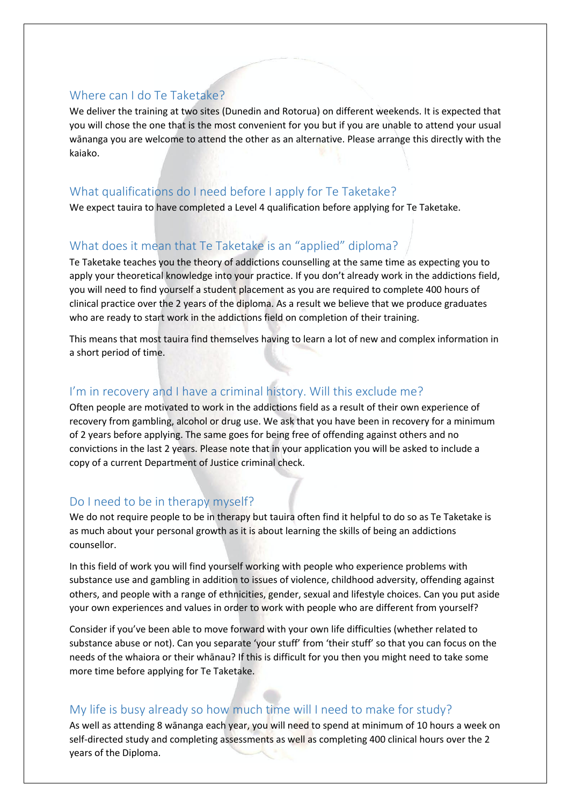## Where can I do Te Taketake?

We deliver the training at two sites (Dunedin and Rotorua) on different weekends. It is expected that you will chose the one that is the most convenient for you but if you are unable to attend your usual wānanga you are welcome to attend the other as an alternative. Please arrange this directly with the kaiako.

# What qualifications do I need before I apply for Te Taketake?

We expect tauira to have completed a Level 4 qualification before applying for Te Taketake.

# What does it mean that Te Taketake is an "applied" diploma?

Te Taketake teaches you the theory of addictions counselling at the same time as expecting you to apply your theoretical knowledge into your practice. If you don't already work in the addictions field, you will need to find yourself a student placement as you are required to complete 400 hours of clinical practice over the 2 years of the diploma. As a result we believe that we produce graduates who are ready to start work in the addictions field on completion of their training.

This means that most tauira find themselves having to learn a lot of new and complex information in a short period of time.

## I'm in recovery and I have a criminal history. Will this exclude me?

Often people are motivated to work in the addictions field as a result of their own experience of recovery from gambling, alcohol or drug use. We ask that you have been in recovery for a minimum of 2 years before applying. The same goes for being free of offending against others and no convictions in the last 2 years. Please note that in your application you will be asked to include a copy of a current Department of Justice criminal check.

# Do I need to be in therapy myself?

We do not require people to be in therapy but tauira often find it helpful to do so as Te Taketake is as much about your personal growth as it is about learning the skills of being an addictions counsellor.

In this field of work you will find yourself working with people who experience problems with substance use and gambling in addition to issues of violence, childhood adversity, offending against others, and people with a range of ethnicities, gender, sexual and lifestyle choices. Can you put aside your own experiences and values in order to work with people who are different from yourself?

Consider if you've been able to move forward with your own life difficulties (whether related to substance abuse or not). Can you separate 'your stuff' from 'their stuff' so that you can focus on the needs of the whaiora or their whānau? If this is difficult for you then you might need to take some more time before applying for Te Taketake.

# My life is busy already so how much time will I need to make for study?

As well as attending 8 wānanga each year, you will need to spend at minimum of 10 hours a week on self-directed study and completing assessments as well as completing 400 clinical hours over the 2 years of the Diploma.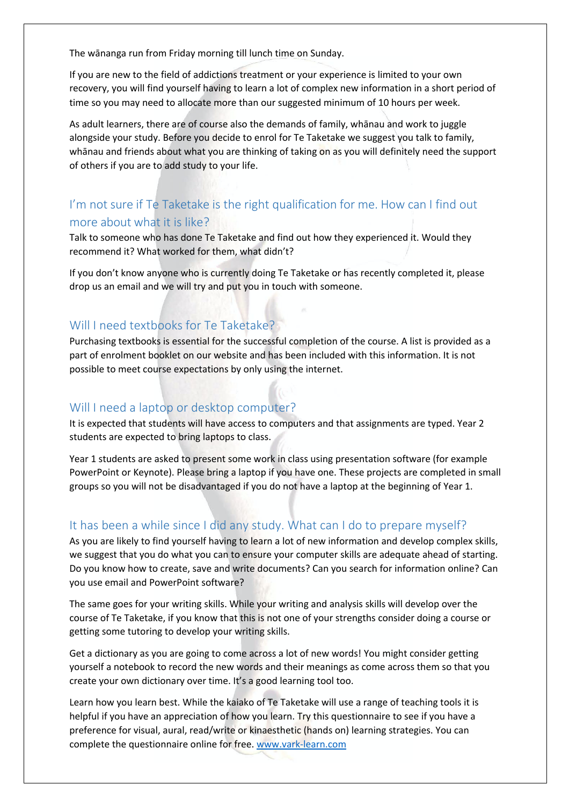The wānanga run from Friday morning till lunch time on Sunday.

If you are new to the field of addictions treatment or your experience is limited to your own recovery, you will find yourself having to learn a lot of complex new information in a short period of time so you may need to allocate more than our suggested minimum of 10 hours per week.

As adult learners, there are of course also the demands of family, whānau and work to juggle alongside your study. Before you decide to enrol for Te Taketake we suggest you talk to family, whānau and friends about what you are thinking of taking on as you will definitely need the support of others if you are to add study to your life.

# I'm not sure if Te Taketake is the right qualification for me. How can I find out more about what it is like?

Talk to someone who has done Te Taketake and find out how they experienced it. Would they recommend it? What worked for them, what didn't?

If you don't know anyone who is currently doing Te Taketake or has recently completed it, please drop us an email and we will try and put you in touch with someone.

## Will I need textbooks for Te Taketake?

Purchasing textbooks is essential for the successful completion of the course. A list is provided as a part of enrolment booklet on our website and has been included with this information. It is not possible to meet course expectations by only using the internet.

#### Will I need a laptop or desktop computer?

It is expected that students will have access to computers and that assignments are typed. Year 2 students are expected to bring laptops to class.

Year 1 students are asked to present some work in class using presentation software (for example PowerPoint or Keynote). Please bring a laptop if you have one. These projects are completed in small groups so you will not be disadvantaged if you do not have a laptop at the beginning of Year 1.

#### It has been a while since I did any study. What can I do to prepare myself?

As you are likely to find yourself having to learn a lot of new information and develop complex skills, we suggest that you do what you can to ensure your computer skills are adequate ahead of starting. Do you know how to create, save and write documents? Can you search for information online? Can you use email and PowerPoint software?

The same goes for your writing skills. While your writing and analysis skills will develop over the course of Te Taketake, if you know that this is not one of your strengths consider doing a course or getting some tutoring to develop your writing skills.

Get a dictionary as you are going to come across a lot of new words! You might consider getting yourself a notebook to record the new words and their meanings as come across them so that you create your own dictionary over time. It's a good learning tool too.

Learn how you learn best. While the kaiako of Te Taketake will use a range of teaching tools it is helpful if you have an appreciation of how you learn. Try this questionnaire to see if you have a preference for visual, aural, read/write or kinaesthetic (hands on) learning strategies. You can complete the questionnaire online for free. www.vark-learn.com